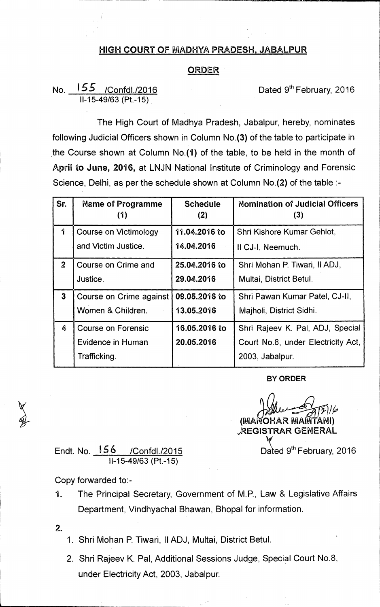## **HIGH COURT OF MADHYA PRADESH, JABALPUR**

## **ORDER**

## No. <u>155 /Confdl./2016</u> **Dated 9<sup>th</sup> February, 2016 11-15-49/63 (Pt.-15)**

**The High Court of Madhya Pradesh, Jabalpur, hereby, nominates following Judicial Officers shown in Column No.(3) of the table to participate in . the Course shown at Column No.(1) of the table, to be held in the month of April to June, 2016, at LNJN National Institute of Criminology and Forensic Science, Delhi, as per the schedule shown at Column No.(2) of the table :-** 

| Sr.          | <b>Name of Programme</b><br>(1) | <b>Schedule</b><br>(2) | <b>Nomination of Judicial Officers</b><br>(3) |
|--------------|---------------------------------|------------------------|-----------------------------------------------|
| 1            | Course on Victimology           | 11.04.2016 to          | Shri Kishore Kumar Gehlot,                    |
|              | and Victim Justice.             | 14.04.2016             | II CJ-I, Neemuch.                             |
| $\mathbf{2}$ | Course on Crime and             | 25.04.2016 to          | Shri Mohan P. Tiwari, II ADJ,                 |
|              | Justice.                        | 29.04.2016             | Multai, District Betul.                       |
| $\mathbf{3}$ | Course on Crime against         | 09.05.2016 to          | Shri Pawan Kumar Patel, CJ-II,                |
|              | Women & Children.               | 13.05.2016             | Majholi, District Sidhi.                      |
| Ą.           | <b>Course on Forensic</b>       | 16.05.2016 to          | Shri Rajeev K. Pal, ADJ, Special              |
|              | Evidence in Human               | 20.05.2016             | Court No.8, under Electricity Act,            |
|              | Trafficking.                    |                        | 2003, Jabalpur.                               |

**BY ORDER** 

**(MA OHAR MA TANI) "REGISTRAR GENERAL** 

Endt. No. <u>156 /Confdl./2015</u> **Dated 9<sup>th</sup> February, 2016 11-15-49/63 (Pt.-15)** 

**Copy forwarded to:-** 

**1. The Principal Secretary, Government of M.P., Law & Legislative Affairs Department, Vindhyachal Bhawan, Bhopal for information.** 

**2.** 

- **1. Shri Mohan P. Tiwari, II ADJ, Multai, District Betul.**
- **2. Shri Rajeev K. Pal, Additional Sessions Judge, Special Court No.8, under Electricity Act, 2003, Jabalpur.**